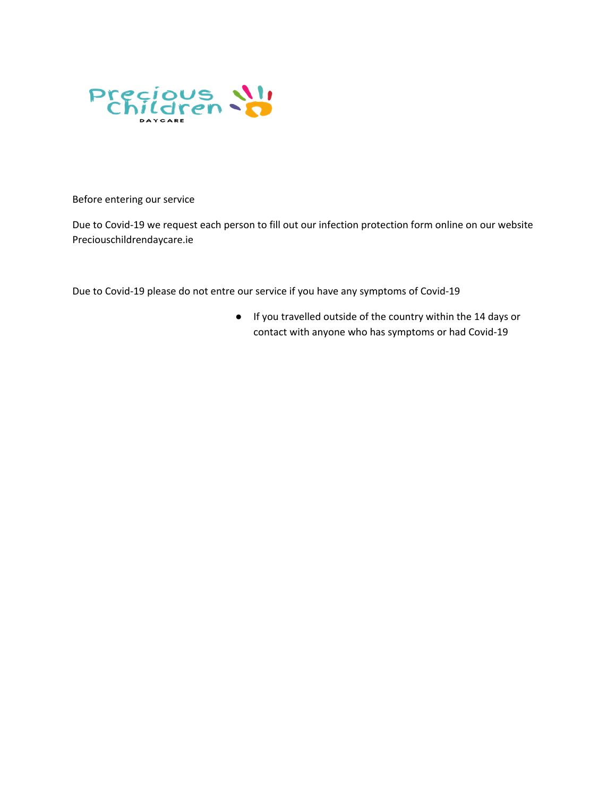

Before entering our service

Due to Covid-19 we request each person to fill out our infection protection form online on our website Preciouschildrendaycare.ie

Due to Covid-19 please do not entre our service if you have any symptoms of Covid-19

● If you travelled outside of the country within the 14 days or contact with anyone who has symptoms or had Covid-19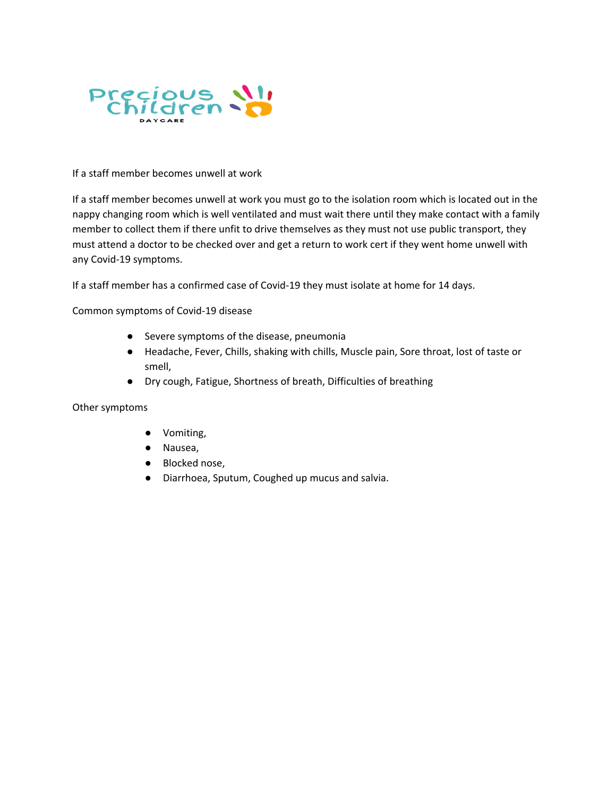

## If a staff member becomes unwell at work

If a staff member becomes unwell at work you must go to the isolation room which is located out in the nappy changing room which is well ventilated and must wait there until they make contact with a family member to collect them if there unfit to drive themselves as they must not use public transport, they must attend a doctor to be checked over and get a return to work cert if they went home unwell with any Covid-19 symptoms.

If a staff member has a confirmed case of Covid-19 they must isolate at home for 14 days.

Common symptoms of Covid-19 disease

- Severe symptoms of the disease, pneumonia
- Headache, Fever, Chills, shaking with chills, Muscle pain, Sore throat, lost of taste or smell,
- Dry cough, Fatigue, Shortness of breath, Difficulties of breathing

Other symptoms

- Vomiting,
- Nausea,
- Blocked nose,
- Diarrhoea, Sputum, Coughed up mucus and salvia.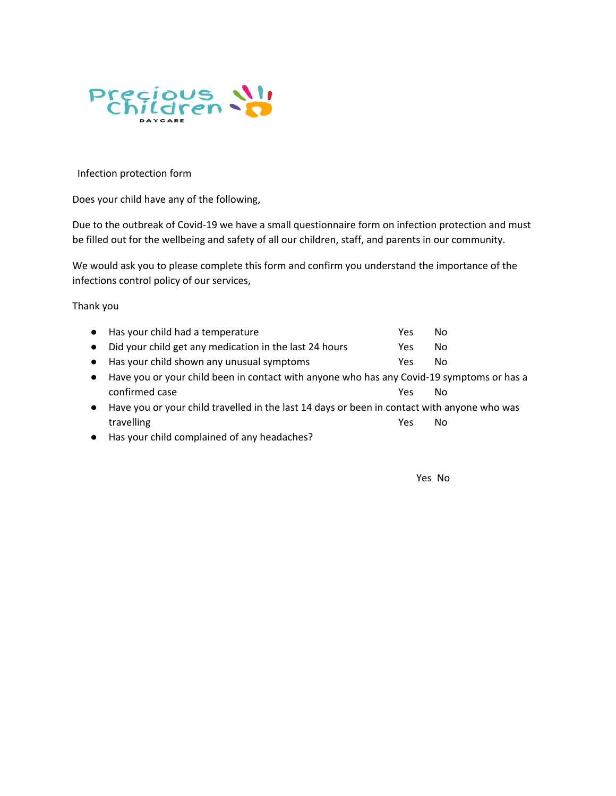

Infection protection form

Does your child have any of the following,

Due to the outbreak of Covid-19 we have a small questionnaire form on infection protection and must be filled out for the wellbeing and safety of all our children, staff, and parents in our community.

We would ask you to please complete this form and confirm you understand the importance of the infections control policy of our services,

Thank you

|           | • Has your child had a temperature                                                          | Yes | No. |  |
|-----------|---------------------------------------------------------------------------------------------|-----|-----|--|
|           | • Did your child get any medication in the last 24 hours                                    | Yes | No. |  |
|           | • Has your child shown any unusual symptoms                                                 | Yes | No. |  |
|           | • Have you or your child been in contact with anyone who has any Covid-19 symptoms or has a |     |     |  |
|           | confirmed case                                                                              | Yes | Nο  |  |
| $\bullet$ | Have you or your child travelled in the last 14 days or been in contact with anyone who was |     |     |  |
|           | travelling                                                                                  | Yes | Nο  |  |
|           |                                                                                             |     |     |  |

● Has your child complained of any headaches?

Yes No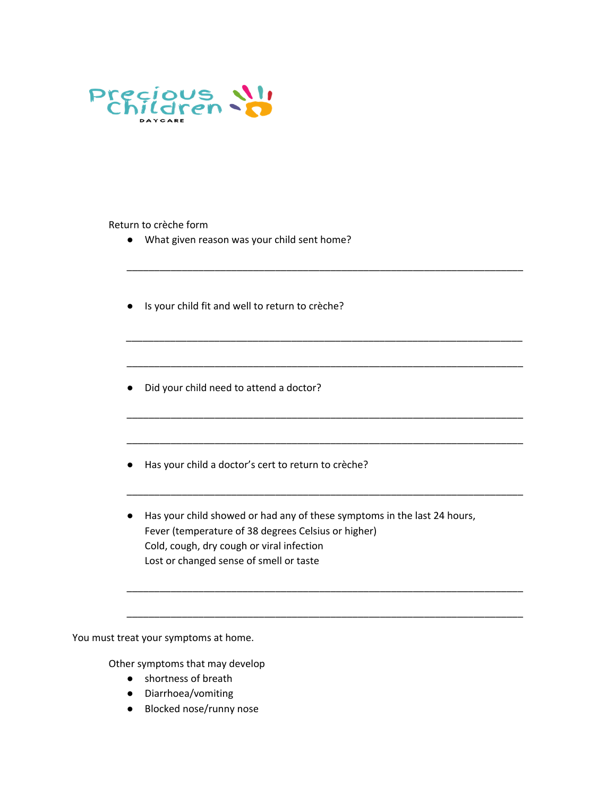

Return to crèche form

- What given reason was your child sent home?
- Is your child fit and well to return to crèche?
- Did your child need to attend a doctor?
- Has your child a doctor's cert to return to crèche?
- Has your child showed or had any of these symptoms in the last 24 hours, Fever (temperature of 38 degrees Celsius or higher) Cold, cough, dry cough or viral infection Lost or changed sense of smell or taste

\_\_\_\_\_\_\_\_\_\_\_\_\_\_\_\_\_\_\_\_\_\_\_\_\_\_\_\_\_\_\_\_\_\_\_\_\_\_\_\_\_\_\_\_\_\_\_\_\_\_\_\_\_\_\_\_\_\_\_\_\_\_\_\_\_\_\_\_\_\_\_\_

\_\_\_\_\_\_\_\_\_\_\_\_\_\_\_\_\_\_\_\_\_\_\_\_\_\_\_\_\_\_\_\_\_\_\_\_\_\_\_\_\_\_\_\_\_\_\_\_\_\_\_\_\_\_\_\_\_\_\_\_\_\_\_\_\_\_\_\_\_\_\_\_

\_\_\_\_\_\_\_\_\_\_\_\_\_\_\_\_\_\_\_\_\_\_\_\_\_\_\_\_\_\_\_\_\_\_\_\_\_\_\_\_\_\_\_\_\_\_\_\_\_\_\_\_\_\_\_\_\_\_\_\_\_\_\_\_\_\_\_\_\_\_\_\_

\_\_\_\_\_\_\_\_\_\_\_\_\_\_\_\_\_\_\_\_\_\_\_\_\_\_\_\_\_\_\_\_\_\_\_\_\_\_\_\_\_\_\_\_\_\_\_\_\_\_\_\_\_\_\_\_\_\_\_\_\_\_\_\_\_\_\_\_\_\_\_\_

\_\_\_\_\_\_\_\_\_\_\_\_\_\_\_\_\_\_\_\_\_\_\_\_\_\_\_\_\_\_\_\_\_\_\_\_\_\_\_\_\_\_\_\_\_\_\_\_\_\_\_\_\_\_\_\_\_\_\_\_\_\_\_\_\_\_\_\_\_\_\_\_

\_\_\_\_\_\_\_\_\_\_\_\_\_\_\_\_\_\_\_\_\_\_\_\_\_\_\_\_\_\_\_\_\_\_\_\_\_\_\_\_\_\_\_\_\_\_\_\_\_\_\_\_\_\_\_\_\_\_\_\_\_\_\_\_\_\_\_\_\_\_\_\_

\_\_\_\_\_\_\_\_\_\_\_\_\_\_\_\_\_\_\_\_\_\_\_\_\_\_\_\_\_\_\_\_\_\_\_\_\_\_\_\_\_\_\_\_\_\_\_\_\_\_\_\_\_\_\_\_\_\_\_\_\_\_\_\_\_\_\_\_\_\_\_\_

\_\_\_\_\_\_\_\_\_\_\_\_\_\_\_\_\_\_\_\_\_\_\_\_\_\_\_\_\_\_\_\_\_\_\_\_\_\_\_\_\_\_\_\_\_\_\_\_\_\_\_\_\_\_\_\_\_\_\_\_\_\_\_\_\_\_\_\_\_\_\_\_

You must treat your symptoms at home.

Other symptoms that may develop

- shortness of breath
- Diarrhoea/vomiting
- Blocked nose/runny nose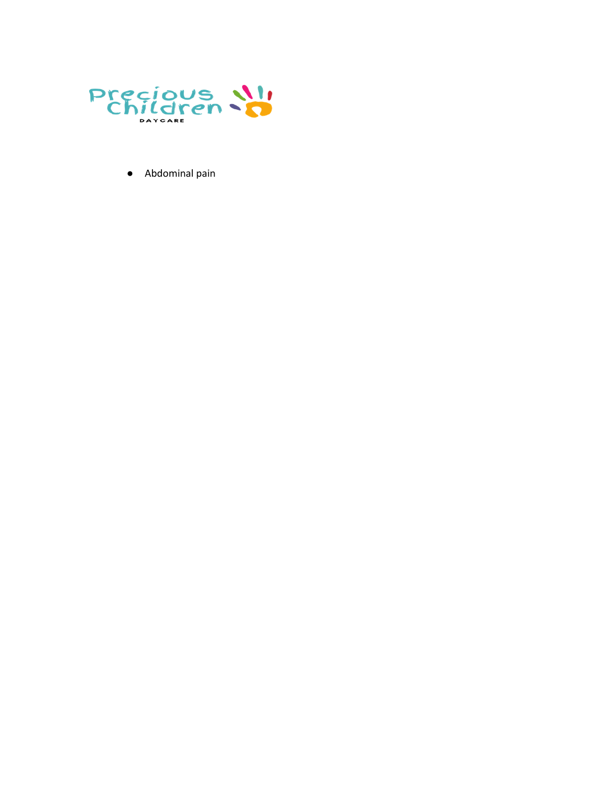

• Abdominal pain